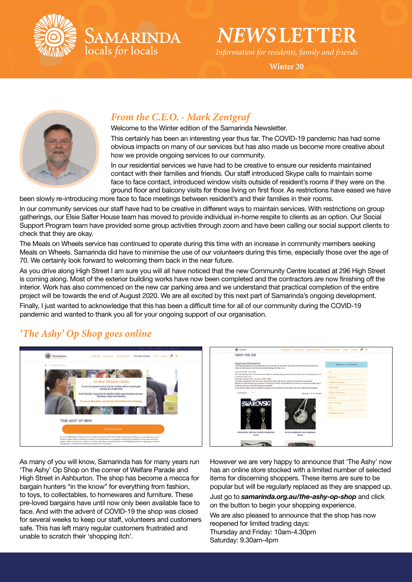

AMARINDA locals for locals

# *NEWS***LETTER**

*Information for residents, family and friends*

**Winter 20**



### *From the C.E.O. - Mark Zentgraf*

Welcome to the Winter edition of the Samarinda Newsletter.

This certainly has been an interesting year thus far. The COVID-19 pandemic has had some obvious impacts on many of our services but has also made us become more creative about how we provide ongoing services to our community.

In our residential services we have had to be creative to ensure our residents maintained contact with their families and friends. Our staff introduced Skype calls to maintain some face to face contact, introduced window visits outside of resident's rooms if they were on the ground floor and balcony visits for those living on first floor. As restrictions have eased we have

been slowly re-introducing more face to face meetings between resident's and their families in their rooms.

In our community services our staff have had to be creative in different ways to maintain services. With restrictions on group gatherings, our Elsie Salter House team has moved to provide individual in-home respite to clients as an option. Our Social Support Program team have provided some group activities through zoom and have been calling our social support clients to check that they are okay.

The Meals on Wheels service has continued to operate during this time with an increase in community members seeking Meals on Wheels. Samarinda did have to minimise the use of our volunteers during this time, especially those over the age of 70. We certainly look forward to welcoming them back in the near future.

As you drive along High Street I am sure you will all have noticed that the new Community Centre located at 296 High Street is coming along. Most of the exterior building works have now been completed and the contractors are now finishing off the interior. Work has also commenced on the new car parking area and we understand that practical completion of the entire project will be towards the end of August 2020. We are all excited by this next part of Samarinda's ongoing development.

Finally, I just wanted to acknowledge that this has been a difficult time for all of our community during the COVID-19 pandemic and wanted to thank you all for your ongoing support of our organisation.

## *'The Ashy' Op Shop goes online*





As many of you will know, Samarinda has for many years run 'The Ashy' Op Shop on the corner of Welfare Parade and High Street in Ashburton. The shop has become a mecca for bargain hunters "in the know" for everything from fashion, to toys, to collectables, to homewares and furniture. These pre-loved bargains have until now only been available face to face. And with the advent of COVID-19 the shop was closed for several weeks to keep our staff, volunteers and customers safe. This has left many regular customers frustrated and unable to scratch their 'shopping itch'.

However we are very happy to announce that 'The Ashy' now has an online store stocked with a limited number of selected items for discerning shoppers. These items are sure to be popular but will be regularly replaced as they are snapped up.

Just go to *samarinda.org.au/the-ashy-op-shop* and click on the button to begin your shopping experience.

We are also pleased to announce that the shop has now reopened for limited trading days: Thursday and Friday: 10am-4.30pm Saturday: 9.30am-4pm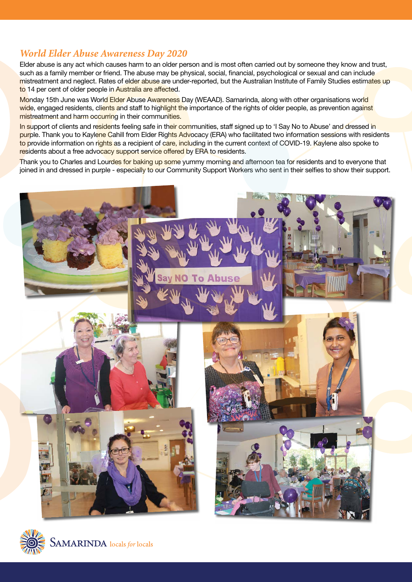#### *World Elder Abuse Awareness Day 2020*

Elder abuse is any act which causes harm to an older person and is most often carried out by someone they know and trust, such as a family member or friend. The abuse may be physical, social, financial, psychological or sexual and can include mistreatment and neglect. Rates of elder abuse are under-reported, but the Australian Institute of Family Studies estimates up to 14 per cent of older people in Australia are affected.

Monday 15th June was World Elder Abuse Awareness Day (WEAAD). Samarinda, along with other organisations world wide, engaged residents, clients and staff to highlight the importance of the rights of older people, as prevention against mistreatment and harm occurring in their communities.

In support of clients and residents feeling safe in their communities, staff signed up to 'I Say No to Abuse' and dressed in purple. Thank you to Kaylene Cahill from Elder Rights Advocacy (ERA) who facilitated two information sessions with residents to provide information on rights as a recipient of care, including in the current context of COVID-19. Kaylene also spoke to residents about a free advocacy support service offered by ERA to residents.

Thank you to Charles and Lourdes for baking up some yummy morning and afternoon tea for residents and to everyone that joined in and dressed in purple - especially to our Community Support Workers who sent in their selfies to show their support.



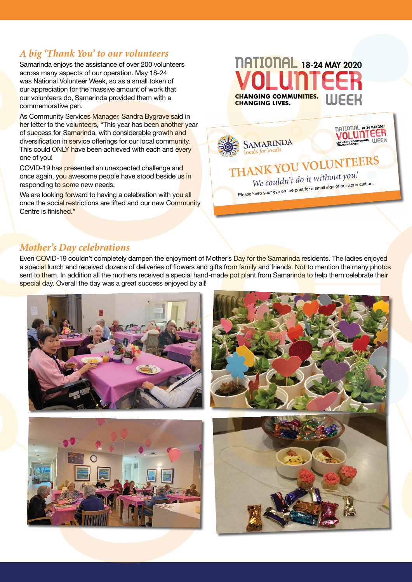## *A big 'Thank You' to our volunteers*

Samarinda enjoys the assistance of over 200 volunteers across many aspects of our operation. May 18-24 was National Volunteer Week, so as a small token of our appreciation for the massive amount of work that our volunteers do, Samarinda provided them with a commemorative pen.

As Community Services Manager, Sandra Bygrave said in her letter to the volunteers, "This year has been another year of success for Samarinda, with considerable growth and diversification in service offerings for our local community. This could ONLY have been achieved with each and every one of you!

COVID-19 has presented an unexpected challenge and once again, you awesome people have stood beside us in responding to some new needs.

We are looking forward to having a celebration with you all once the social restrictions are lifted and our new Community Centre is finished."

## **NATIONAL 18-24 MAY 2020 CHANGING COMMUNITIES. WEEK CHANGING LIVES.**



#### *Mother's Day celebrations*

Even COVID-19 couldn't completely dampen the enjoyment of Mother's Day for the Samarinda residents. The ladies enjoyed a special lunch and received dozens of deliveries of flowers and gifts from family and friends. Not to mention the many photos sent to them. In addition all the mothers received a special hand-made pot plant from Samarinda to help them celebrate their special day. Overall the day was a great success enjoyed by all!